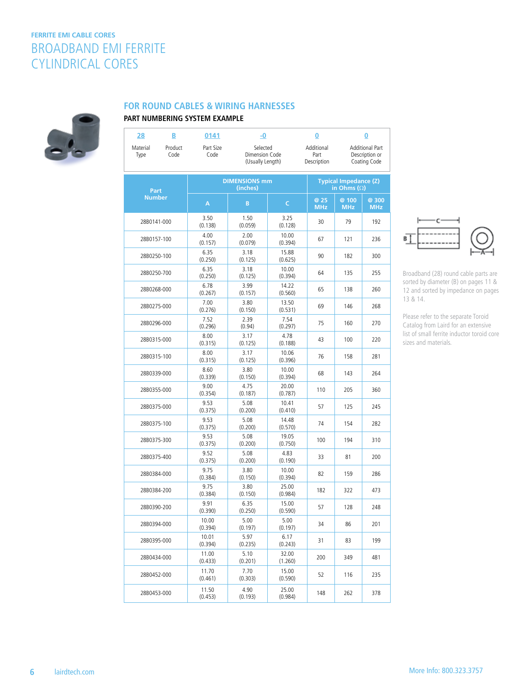# **FERRITE EMI CABLE CORES** BROADBAND EMI FERRITE CYLINDRICAL CORES



#### **FOR ROUND CABLES & WIRING HARNESSES**

### **PART NUMBERING SYSTEM EXAMPLE**

| 28               | В               | 0141              | -0                                             |                  | 0                                 |                                                    | 0                                                        |  |
|------------------|-----------------|-------------------|------------------------------------------------|------------------|-----------------------------------|----------------------------------------------------|----------------------------------------------------------|--|
| Material<br>Type | Product<br>Code | Part Size<br>Code | Selected<br>Dimension Code<br>(Usually Length) |                  | Additional<br>Part<br>Description |                                                    | <b>Additional Part</b><br>Description or<br>Coating Code |  |
| Part             |                 |                   | <b>DIMENSIONS mm</b><br>(inches)               |                  |                                   | <b>Typical Impedance (Z)</b><br>in Ohms $(\Omega)$ |                                                          |  |
| <b>Number</b>    |                 | A                 | $\, {\bf B}$                                   | $\mathsf C$      | @ 25<br><b>MHz</b>                | @ 100<br><b>MHz</b>                                | @ 300<br><b>MHz</b>                                      |  |
| 28B0141-000      |                 | 3.50<br>(0.138)   | 1.50<br>(0.059)                                | 3.25<br>(0.128)  | 30                                | 79                                                 | 192                                                      |  |
| 28B0157-100      |                 | 4.00<br>(0.157)   | 2.00<br>(0.079)                                | 10.00<br>(0.394) | 67                                | 121                                                | 236                                                      |  |
| 28B0250-100      |                 | 6.35<br>(0.250)   | 3.18<br>(0.125)                                | 15.88<br>(0.625) | 90                                | 182                                                | 300                                                      |  |
| 28B0250-700      |                 | 6.35<br>(0.250)   | 3.18<br>(0.125)                                | 10.00<br>(0.394) | 64                                | 135                                                | 255                                                      |  |
| 28B0268-000      |                 | 6.78<br>(0.267)   | 3.99<br>(0.157)                                | 14.22<br>(0.560) | 65                                | 138                                                | 260                                                      |  |
| 28B0275-000      |                 | 7.00<br>(0.276)   | 3.80<br>(0.150)                                | 13.50<br>(0.531) | 69                                | 146                                                | 268                                                      |  |
| 28B0296-000      |                 | 7.52<br>(0.296)   | 2.39<br>(0.94)                                 | 7.54<br>(0.297)  | 75                                | 160                                                | 270                                                      |  |
| 28B0315-000      |                 | 8.00<br>(0.315)   | 3.17<br>(0.125)                                | 4.78<br>(0.188)  | 43                                | 100                                                | 220                                                      |  |
| 28B0315-100      |                 | 8.00<br>(0.315)   | 3.17<br>(0.125)                                | 10.06<br>(0.396) | 76                                | 158                                                | 281                                                      |  |
| 28B0339-000      |                 | 8.60<br>(0.339)   | 3.80<br>(0.150)                                | 10.00<br>(0.394) | 68                                | 143                                                | 264                                                      |  |
| 28B0355-000      |                 | 9.00<br>(0.354)   | 4.75<br>(0.187)                                | 20.00<br>(0.787) | 110                               | 205                                                | 360                                                      |  |
| 28B0375-000      |                 | 9.53<br>(0.375)   | 5.08<br>(0.200)                                | 10.41<br>(0.410) | 57                                | 125                                                | 245                                                      |  |
| 28B0375-100      |                 | 9.53<br>(0.375)   | 5.08<br>(0.200)                                | 14.48<br>(0.570) | 74                                | 154                                                | 282                                                      |  |
| 28B0375-300      |                 | 9.53<br>(0.375)   | 5.08<br>(0.200)                                | 19.05<br>(0.750) | 100                               | 194                                                | 310                                                      |  |
| 28B0375-400      |                 | 9.52<br>(0.375)   | 5.08<br>(0.200)                                | 4.83<br>(0.190)  | 33                                | 81                                                 | 200                                                      |  |
| 28B0384-000      |                 | 9.75<br>(0.384)   | 3.80<br>(0.150)                                | 10.00<br>(0.394) | 82                                | 159                                                | 286                                                      |  |
| 28B0384-200      |                 | 9.75<br>(0.384)   | 3.80<br>(0.150)                                | 25.00<br>(0.984) | 182                               | 322                                                | 473                                                      |  |
| 28B0390-200      |                 | 9.91<br>(0.390)   | 6.35<br>(0.250)                                | 15.00<br>(0.590) | 57                                | 128                                                | 248                                                      |  |
| 28B0394-000      |                 | 10.00<br>(0.394)  | 5.00<br>(0.197)                                | 5.00<br>(0.197)  | 34                                | 86                                                 | 201                                                      |  |
| 28B0395-000      |                 | 10.01<br>(0.394)  | 5.97<br>(0.235)                                | 6.17<br>(0.243)  | 31                                | 83                                                 | 199                                                      |  |
| 28B0434-000      |                 | 11.00<br>(0.433)  | 5.10<br>(0.201)                                | 32.00<br>(1.260) | 200                               | 349                                                | 481                                                      |  |
| 28B0452-000      |                 | 11.70<br>(0.461)  | 7.70<br>(0.303)                                | 15.00<br>(0.590) | 52                                | 116                                                | 235                                                      |  |
| 28B0453-000      |                 | 11.50<br>(0.453)  | 4.90<br>(0.193)                                | 25.00<br>(0.984) | 148                               | 262                                                | 378                                                      |  |
|                  |                 |                   |                                                |                  |                                   |                                                    |                                                          |  |



Broadband (28) round cable parts are sorted by diameter (B) on pages 11 & 12 and sorted by impedance on pages 13 & 14.

Please refer to the separate Toroid Catalog from Laird for an extensive list of small ferrite inductor toroid core sizes and materials.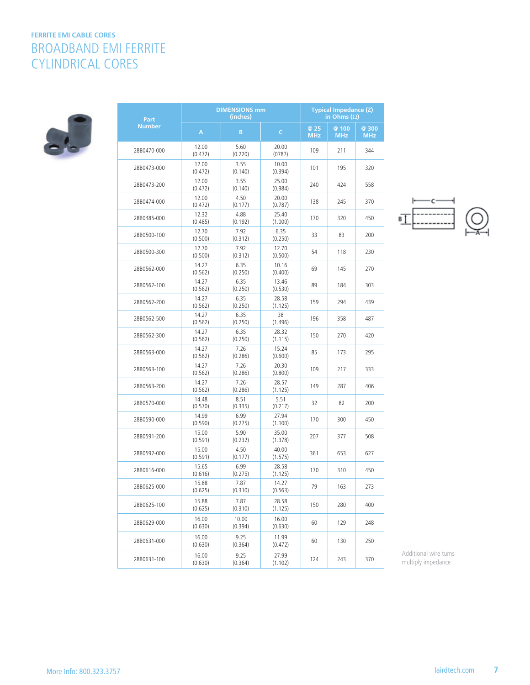# **FERRITE EMI CABLE CORES** BROADBAND EMI FERRITE CYLINDRICAL CORES



| Part          | <b>DIMENSIONS mm</b><br>(inches) |                  |                  | <b>Typical Impedance (Z)</b><br>in Ohms $(\Omega)$ |                     |                     |
|---------------|----------------------------------|------------------|------------------|----------------------------------------------------|---------------------|---------------------|
| <b>Number</b> | A                                | B                | C                | @ 25<br><b>MHz</b>                                 | @ 100<br><b>MHz</b> | @ 300<br><b>MHz</b> |
| 28B0470-000   | 12.00<br>(0.472)                 | 5.60<br>(0.220)  | 20.00<br>(0787)  | 109                                                | 211                 | 344                 |
| 28B0473-000   | 12.00<br>(0.472)                 | 3.55<br>(0.140)  | 10.00<br>(0.394) | 101                                                | 195                 | 320                 |
| 28B0473-200   | 12.00<br>(0.472)                 | 3.55<br>(0.140)  | 25.00<br>(0.984) | 240                                                | 424                 | 558                 |
| 28B0474-000   | 12.00<br>(0.472)                 | 4.50<br>(0.177)  | 20.00<br>(0.787) | 138                                                | 245                 | 370                 |
| 28B0485-000   | 12.32<br>(0.485)                 | 4.88<br>(0.192)  | 25.40<br>(1.000) | 170                                                | 320                 | 450                 |
| 28B0500-100   | 12.70<br>(0.500)                 | 7.92<br>(0.312)  | 6.35<br>(0.250)  | 33                                                 | 83                  | 200                 |
| 28B0500-300   | 12.70<br>(0.500)                 | 7.92<br>(0.312)  | 12.70<br>(0.500) | 54                                                 | 118                 | 230                 |
| 28B0562-000   | 14.27<br>(0.562)                 | 6.35<br>(0.250)  | 10.16<br>(0.400) | 69                                                 | 145                 | 270                 |
| 28B0562-100   | 14.27<br>(0.562)                 | 6.35<br>(0.250)  | 13.46<br>(0.530) | 89                                                 | 184                 | 303                 |
| 28B0562-200   | 14.27<br>(0.562)                 | 6.35<br>(0.250)  | 28.58<br>(1.125) | 159                                                | 294                 | 439                 |
| 28B0562-500   | 14.27<br>(0.562)                 | 6.35<br>(0.250)  | 38<br>(1.496)    | 196                                                | 358                 | 487                 |
| 28B0562-300   | 14.27<br>(0.562)                 | 6.35<br>(0.250)  | 28.32<br>(1.115) | 150                                                | 270                 | 420                 |
| 28B0563-000   | 14.27<br>(0.562)                 | 7.26<br>(0.286)  | 15.24<br>(0.600) | 85                                                 | 173                 | 295                 |
| 28B0563-100   | 14.27<br>(0.562)                 | 7.26<br>(0.286)  | 20.30<br>(0.800) | 109                                                | 217                 | 333                 |
| 28B0563-200   | 14.27<br>(0.562)                 | 7.26<br>(0.286)  | 28.57<br>(1.125) | 149                                                | 287                 | 406                 |
| 28B0570-000   | 14.48<br>(0.570)                 | 8.51<br>(0.335)  | 5.51<br>(0.217)  | 32                                                 | 82                  | 200                 |
| 28B0590-000   | 14.99<br>(0.590)                 | 6.99<br>(0.275)  | 27.94<br>(1.100) | 170                                                | 300                 | 450                 |
| 28B0591-200   | 15.00<br>(0.591)                 | 5.90<br>(0.232)  | 35.00<br>(1.378) | 207                                                | 377                 | 508                 |
| 28B0592-000   | 15.00<br>(0.591)                 | 4.50<br>(0.177)  | 40.00<br>(1.575) | 361                                                | 653                 | 627                 |
| 28B0616-000   | 15.65<br>(0.616)                 | 6.99<br>(0.275)  | 28.58<br>(1.125) | 170                                                | 310                 | 450                 |
| 28B0625-000   | 15.88<br>(0.625)                 | 7.87<br>(0.310)  | 14.27<br>(0.563) | 79                                                 | 163                 | 273                 |
| 28B0625-100   | 15.88<br>(0.625)                 | 7.87<br>(0.310)  | 28.58<br>(1.125) | 150                                                | 280                 | 400                 |
| 28B0629-000   | 16.00<br>(0.630)                 | 10.00<br>(0.394) | 16.00<br>(0.630) | 60                                                 | 129                 | 248                 |
| 28B0631-000   | 16.00<br>(0.630)                 | 9.25<br>(0.364)  | 11.99<br>(0.472) | 60                                                 | 130                 | 250                 |
| 28B0631-100   | 16.00<br>(0.630)                 | 9.25<br>(0.364)  | 27.99<br>(1.102) | 124                                                | 243                 | 370                 |



叮

Additional wire turns multiply impedance